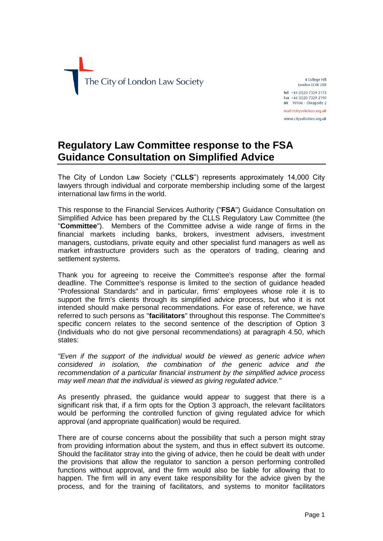

4 College Hill London EC4R 2RB Tel +44 (0)20 7329 2173 Fax +44 (0)20 7329 2190  $DX$  98936 - Cheapside 2 mail@citysolicitors.org.uk www.citvsolicitors.org.uk

## **Regulatory Law Committee response to the FSA Guidance Consultation on Simplified Advice**

The City of London Law Society ("**CLLS**") represents approximately 14,000 City lawyers through individual and corporate membership including some of the largest international law firms in the world.

This response to the Financial Services Authority ("**FSA**") Guidance Consultation on Simplified Advice has been prepared by the CLLS Regulatory Law Committee (the "**Committee**"). Members of the Committee advise a wide range of firms in the financial markets including banks, brokers, investment advisers, investment managers, custodians, private equity and other specialist fund managers as well as market infrastructure providers such as the operators of trading, clearing and settlement systems.

Thank you for agreeing to receive the Committee's response after the formal deadline. The Committee's response is limited to the section of guidance headed "Professional Standards" and in particular, firms' employees whose role it is to support the firm's clients through its simplified advice process, but who it is not intended should make personal recommendations. For ease of reference, we have referred to such persons as "**facilitators**" throughout this response. The Committee's specific concern relates to the second sentence of the description of Option 3 (Individuals who do not give personal recommendations) at paragraph 4.50, which states:

*"Even if the support of the individual would be viewed as generic advice when considered in isolation, the combination of the generic advice and the recommendation of a particular financial instrument by the simplified advice process may well mean that the individual is viewed as giving regulated advice."*

As presently phrased, the guidance would appear to suggest that there is a significant risk that, if a firm opts for the Option 3 approach, the relevant facilitators would be performing the controlled function of giving regulated advice for which approval (and appropriate qualification) would be required.

There are of course concerns about the possibility that such a person might stray from providing information about the system, and thus in effect subvert its outcome. Should the facilitator stray into the giving of advice, then he could be dealt with under the provisions that allow the regulator to sanction a person performing controlled functions without approval, and the firm would also be liable for allowing that to happen. The firm will in any event take responsibility for the advice given by the process, and for the training of facilitators, and systems to monitor facilitators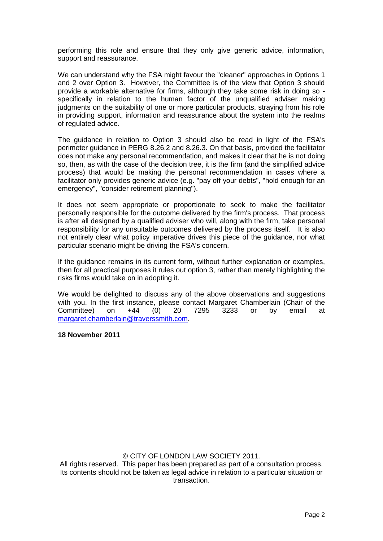performing this role and ensure that they only give generic advice, information, support and reassurance.

We can understand why the FSA might favour the "cleaner" approaches in Options 1 and 2 over Option 3. However, the Committee is of the view that Option 3 should provide a workable alternative for firms, although they take some risk in doing so specifically in relation to the human factor of the unqualified adviser making judgments on the suitability of one or more particular products, straying from his role in providing support, information and reassurance about the system into the realms of regulated advice.

The guidance in relation to Option 3 should also be read in light of the FSA's perimeter guidance in PERG 8.26.2 and 8.26.3. On that basis, provided the facilitator does not make any personal recommendation, and makes it clear that he is not doing so, then, as with the case of the decision tree, it is the firm (and the simplified advice process) that would be making the personal recommendation in cases where a facilitator only provides generic advice (e.g. "pay off your debts", "hold enough for an emergency", "consider retirement planning").

It does not seem appropriate or proportionate to seek to make the facilitator personally responsible for the outcome delivered by the firm's process. That process is after all designed by a qualified adviser who will, along with the firm, take personal responsibility for any unsuitable outcomes delivered by the process itself. It is also not entirely clear what policy imperative drives this piece of the guidance, nor what particular scenario might be driving the FSA's concern.

If the guidance remains in its current form, without further explanation or examples, then for all practical purposes it rules out option 3, rather than merely highlighting the risks firms would take on in adopting it.

We would be delighted to discuss any of the above observations and suggestions with you. In the first instance, please contact Margaret Chamberlain (Chair of the Committee) on +44 (0) 20 7295 3233 or by email at [margaret.chamberlain@traverssmith.com.](mailto:margaret.chamberlain@traverssmith.com)

## **18 November 2011**

## © CITY OF LONDON LAW SOCIETY 2011.

All rights reserved. This paper has been prepared as part of a consultation process. Its contents should not be taken as legal advice in relation to a particular situation or transaction.